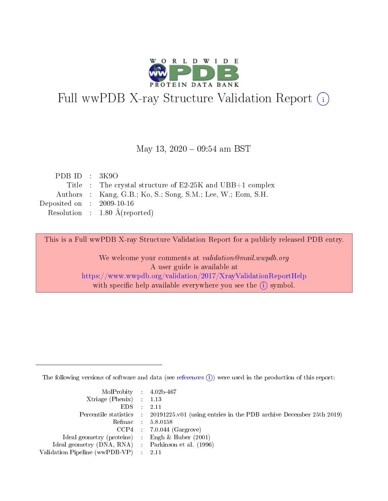

# Full wwPDB X-ray Structure Validation Report (i)

#### May 13, 2020 - 09:54 am BST

| PDB ID : $3K9O$                      |                                                              |
|--------------------------------------|--------------------------------------------------------------|
|                                      | Title : The crystal structure of E2-25K and UBB+1 complex    |
|                                      | Authors : Kang, G.B.; Ko, S.; Song, S.M.; Lee, W.; Eom, S.H. |
| Deposited on $\therefore$ 2009-10-16 |                                                              |
|                                      | Resolution : $1.80 \text{ Å}$ (reported)                     |

This is a Full wwPDB X-ray Structure Validation Report for a publicly released PDB entry.

We welcome your comments at validation@mail.wwpdb.org A user guide is available at <https://www.wwpdb.org/validation/2017/XrayValidationReportHelp> with specific help available everywhere you see the  $(i)$  symbol.

The following versions of software and data (see [references](https://www.wwpdb.org/validation/2017/XrayValidationReportHelp#references)  $(i)$ ) were used in the production of this report:

| MolProbity : 4.02b-467                              |                                                                                            |
|-----------------------------------------------------|--------------------------------------------------------------------------------------------|
| $Xtriangle (Phenix)$ : 1.13                         |                                                                                            |
| $EDS = 2.11$                                        |                                                                                            |
|                                                     | Percentile statistics : 20191225.v01 (using entries in the PDB archive December 25th 2019) |
|                                                     | Refmac : 5.8.0158                                                                          |
|                                                     | $CCP4$ : 7.0.044 (Gargrove)                                                                |
| Ideal geometry (proteins) : Engh $\&$ Huber (2001)  |                                                                                            |
| Ideal geometry (DNA, RNA) : Parkinson et al. (1996) |                                                                                            |
| Validation Pipeline (wwPDB-VP) : 2.11               |                                                                                            |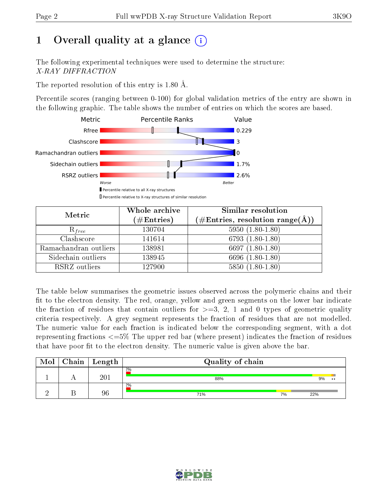# 1 [O](https://www.wwpdb.org/validation/2017/XrayValidationReportHelp#overall_quality)verall quality at a glance  $(i)$

The following experimental techniques were used to determine the structure: X-RAY DIFFRACTION

The reported resolution of this entry is 1.80 Å.

Percentile scores (ranging between 0-100) for global validation metrics of the entry are shown in the following graphic. The table shows the number of entries on which the scores are based.



| Metric                | Whole archive<br>$(\#\mathrm{Entries})$ | Similar resolution<br>$(\#\text{Entries},\,\text{resolution}\,\,\text{range}(\textup{\AA}))$ |
|-----------------------|-----------------------------------------|----------------------------------------------------------------------------------------------|
| $R_{free}$            | 130704                                  | $5950(1.80-1.80)$                                                                            |
| Clashscore            | 141614                                  | $6793(1.80-1.80)$                                                                            |
| Ramachandran outliers | 138981                                  | 6697 $(1.80-1.80)$                                                                           |
| Sidechain outliers    | 138945                                  | 6696 (1.80-1.80)                                                                             |
| RSRZ outliers         | 127900                                  | $5850(1.80-1.80)$                                                                            |

The table below summarises the geometric issues observed across the polymeric chains and their fit to the electron density. The red, orange, yellow and green segments on the lower bar indicate the fraction of residues that contain outliers for  $>=3, 2, 1$  and 0 types of geometric quality criteria respectively. A grey segment represents the fraction of residues that are not modelled. The numeric value for each fraction is indicated below the corresponding segment, with a dot representing fractions  $\epsilon=5\%$  The upper red bar (where present) indicates the fraction of residues that have poor fit to the electron density. The numeric value is given above the bar.

| Mol | Chain | $\mathrel{\mathop{\text{L}}\nolimits\mathrel{\mathop{\text{logth}}\nolimits}}$ | Quality of chain |    |                         |
|-----|-------|--------------------------------------------------------------------------------|------------------|----|-------------------------|
|     |       | $20\degree$                                                                    | 2%<br>88%        |    | 9%<br>$\bullet \bullet$ |
|     |       | 96                                                                             | 2%<br>71%        | 7% | 22%                     |

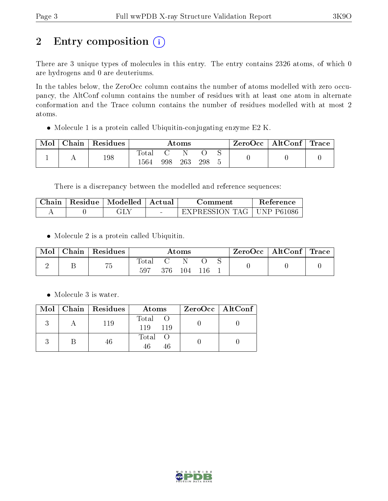# 2 Entry composition (i)

There are 3 unique types of molecules in this entry. The entry contains 2326 atoms, of which 0 are hydrogens and 0 are deuteriums.

In the tables below, the ZeroOcc column contains the number of atoms modelled with zero occupancy, the AltConf column contains the number of residues with at least one atom in alternate conformation and the Trace column contains the number of residues modelled with at most 2 atoms.

Molecule 1 is a protein called Ubiquitin-conjugating enzyme E2 K.

| Mol | $ $ Chain $ $ Residues | Atoms                  |     |     |     |  | ZeroOcc   AltConf   Trace |  |
|-----|------------------------|------------------------|-----|-----|-----|--|---------------------------|--|
|     | 198                    | $_{\rm Total}$<br>1564 | 998 | 263 | 298 |  |                           |  |

There is a discrepancy between the modelled and reference sequences:

| Chain- | $\parallel$ Residue $\parallel$ Modelled $\parallel$ | ± Actual ⊦ | Comment                     | <b>Reference</b> |
|--------|------------------------------------------------------|------------|-----------------------------|------------------|
|        | ЭU                                                   |            | EXPRESSION TAG   UNP P61086 |                  |

• Molecule 2 is a protein called Ubiquitin.

| Mol | Chain | $\perp$ Residues | Atoms        |       |     |  |  | ZeroOcc   AltConf   Trace |  |
|-----|-------|------------------|--------------|-------|-----|--|--|---------------------------|--|
|     |       | 75               | Total<br>597 | 376 - | 104 |  |  |                           |  |

• Molecule 3 is water.

|  | $\text{Mol}$   Chain   Residues | Atoms                 | $ZeroOcc \mid AltConf \mid$ |
|--|---------------------------------|-----------------------|-----------------------------|
|  | 119                             | Total O<br>119<br>119 |                             |
|  | 46                              | Total O<br>46.        |                             |

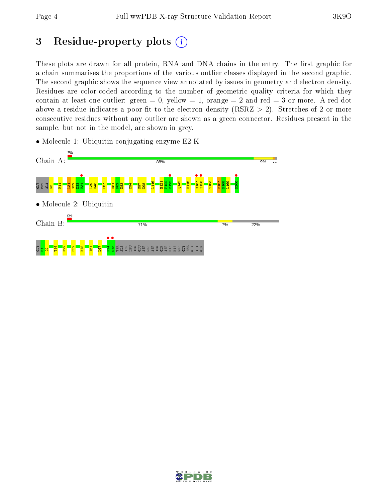## 3 Residue-property plots  $(i)$

These plots are drawn for all protein, RNA and DNA chains in the entry. The first graphic for a chain summarises the proportions of the various outlier classes displayed in the second graphic. The second graphic shows the sequence view annotated by issues in geometry and electron density. Residues are color-coded according to the number of geometric quality criteria for which they contain at least one outlier: green  $= 0$ , yellow  $= 1$ , orange  $= 2$  and red  $= 3$  or more. A red dot above a residue indicates a poor fit to the electron density (RSRZ  $> 2$ ). Stretches of 2 or more consecutive residues without any outlier are shown as a green connector. Residues present in the sample, but not in the model, are shown in grey.

• Molecule 1: Ubiquitin-conjugating enzyme E2 K



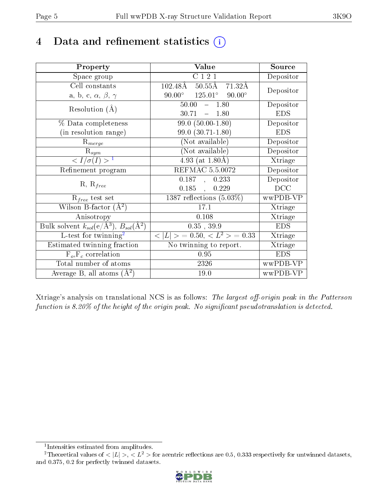## 4 Data and refinement statistics  $(i)$

| Property                                                                 | Value                                              | Source     |
|--------------------------------------------------------------------------|----------------------------------------------------|------------|
| Space group                                                              | $\overline{C121}$                                  | Depositor  |
| Cell constants                                                           | $102.48\text{\AA}$<br>$50.55\text{\AA}$<br>71.32Å  | Depositor  |
| a, b, c, $\alpha$ , $\beta$ , $\gamma$                                   | $125.01^\circ$<br>$90.00^\circ$<br>$90.00^{\circ}$ |            |
| Resolution $(A)$                                                         | 50.00<br>$-1.80$                                   | Depositor  |
|                                                                          | 30.71<br>$-1.80$                                   | <b>EDS</b> |
| $%$ Data completeness                                                    | $99.0(50.00-1.80)$                                 | Depositor  |
| (in resolution range)                                                    | $99.0(30.71-1.80)$                                 | <b>EDS</b> |
| $R_{merge}$                                                              | (Not available)                                    | Depositor  |
| $\mathrm{R}_{sym}$                                                       | (Not available)                                    | Depositor  |
| $\langle I/\sigma(I) \rangle^{-1}$                                       | 4.93 (at $1.80\text{\AA}$ )                        | Xtriage    |
| Refinement program                                                       | REFMAC 5.5.0072                                    | Depositor  |
| $R, R_{free}$                                                            | 0.187,<br>0.233                                    | Depositor  |
|                                                                          | 0.185,<br>0.229                                    | DCC        |
| $\mathcal{R}_{free}$ test set                                            | 1387 reflections $(5.03\%)$                        | wwPDB-VP   |
| Wilson B-factor $(A^2)$                                                  | 17.1                                               | Xtriage    |
| Anisotropy                                                               | 0.108                                              | Xtriage    |
| Bulk solvent $k_{sol}(\mathrm{e}/\mathrm{A}^3),$ $B_{sol}(\mathrm{A}^2)$ | $0.35$ , 39.9                                      | <b>EDS</b> |
| L-test for twinning <sup>2</sup>                                         | $< L >$ = 0.50, $< L2$ = 0.33                      | Xtriage    |
| Estimated twinning fraction                                              | $\overline{\text{No}}$ twinning to report.         | Xtriage    |
| $F_o, F_c$ correlation                                                   | 0.95                                               | <b>EDS</b> |
| Total number of atoms                                                    | 2326                                               | wwPDB-VP   |
| Average B, all atoms $(A^2)$                                             | 19.0                                               | wwPDB-VP   |

Xtriage's analysis on translational NCS is as follows: The largest off-origin peak in the Patterson function is  $8.20\%$  of the height of the origin peak. No significant pseudotranslation is detected.

<sup>&</sup>lt;sup>2</sup>Theoretical values of  $\langle |L| \rangle$ ,  $\langle L^2 \rangle$  for acentric reflections are 0.5, 0.333 respectively for untwinned datasets, and 0.375, 0.2 for perfectly twinned datasets.



<span id="page-4-1"></span><span id="page-4-0"></span><sup>1</sup> Intensities estimated from amplitudes.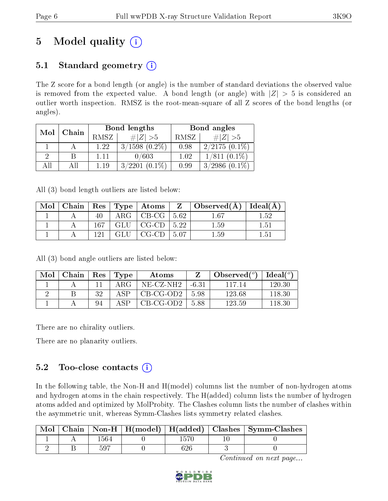# 5 Model quality  $(i)$

## 5.1 Standard geometry  $(i)$

The Z score for a bond length (or angle) is the number of standard deviations the observed value is removed from the expected value. A bond length (or angle) with  $|Z| > 5$  is considered an outlier worth inspection. RMSZ is the root-mean-square of all Z scores of the bond lengths (or angles).

| Mol | Chain |      | Bond lengths       | Bond angles |                     |  |
|-----|-------|------|--------------------|-------------|---------------------|--|
|     |       | RMSZ | $\# Z  > 5$        | RMSZ        | # $ Z  > 5$         |  |
|     |       | 1.22 | $3/1598$ $(0.2\%)$ | 0.98        | $2/2175(0.1\%)$     |  |
|     |       | 1.11 | 0/603              | 1.02        | $1/811$ $(0.1\%)$   |  |
| ΔH  |       | 1.19 | $3/2201(0.1\%)$    | 0.99        | 3/2986<br>$(0.1\%)$ |  |

All (3) bond length outliers are listed below:

| Mol |     |               |                            |            | $\vert$ Chain $\vert$ Res $\vert$ Type $\vert$ Atoms $\vert$ Z $\vert$ Observed(A) $\vert$ Ideal(A) |      |
|-----|-----|---------------|----------------------------|------------|-----------------------------------------------------------------------------------------------------|------|
|     | 40  | ${\rm ARG}^-$ | $\vert$ CB-CG $\vert$ 5.62 |            | 1.67                                                                                                | 1.52 |
|     | 167 | GLU           | CG-CD                      | $\pm 5.22$ | $1.59\,$                                                                                            | 1.51 |
|     | 191 | GLU           | CG-CD                      | - 507      | $1.59\,$                                                                                            | 1.51 |

All (3) bond angle outliers are listed below:

| Mol | Chain | $\mathbf{Res}$ | Type | Atoms       |         | Observed $(°)$ | $Ideal(^{\circ})$ |
|-----|-------|----------------|------|-------------|---------|----------------|-------------------|
|     |       |                | ARG  | NE-CZ-NH2-  | $-6.31$ | 117 14         | 120.30            |
|     |       | っっ             | ΔSΡ  | CB-CG-OD2   | 5.98    | 123.68         | 118.30            |
|     |       | 94             | A SP | $CB-CG-OD2$ | 5.88    | 123.59         | 118.30            |

There are no chirality outliers.

There are no planarity outliers.

## 5.2 Too-close contacts  $(i)$

In the following table, the Non-H and H(model) columns list the number of non-hydrogen atoms and hydrogen atoms in the chain respectively. The H(added) column lists the number of hydrogen atoms added and optimized by MolProbity. The Clashes column lists the number of clashes within the asymmetric unit, whereas Symm-Clashes lists symmetry related clashes.

|  |     |  | Chain   Non-H   $H(model)$   $H(added)$   Clashes   Symm-Clashes |
|--|-----|--|------------------------------------------------------------------|
|  |     |  |                                                                  |
|  | 597 |  |                                                                  |

Continued on next page...

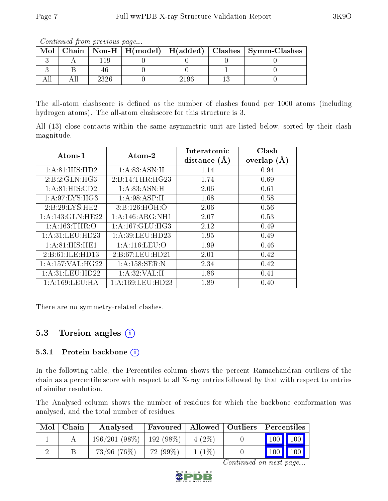Continued from previous page...

The all-atom clashscore is defined as the number of clashes found per 1000 atoms (including hydrogen atoms). The all-atom clashscore for this structure is 3.

All (13) close contacts within the same asymmetric unit are listed below, sorted by their clash magnitude.

| Atom-1            | Atom-2               | Interatomic    | Clash         |
|-------------------|----------------------|----------------|---------------|
|                   |                      | distance $(A)$ | overlap $(A)$ |
| 1: A:81: HIS: HD2 | 1:A:83:ASN:H         | 1.14           | 0.94          |
| 2:B:2:GLN:HG3     | 2: B:14: THR: HG23   | 1.74           | 0.69          |
| 1: A:81: HIS:CD2  | 1:A:83:ASN:H         | 2.06           | 0.61          |
| 1: A:97: LYS: HG3 | 1: A:98: ASP:H       | 1.68           | 0.58          |
| 2:B:29:LYS:HE2    | 3:B:126:HOH:O        | 2.06           | 0.56          |
| 1:A:143:GLN:HE22  | 1:A:146:ARG:NH1      | 2.07           | 0.53          |
| 1:A:163:THR:O     | 1: A: 167: GLU: HG3  | 2.12           | 0.49          |
| 1:A:31:LEU:HD23   | 1: A:39: LEU: HD23   | 1.95           | 0.49          |
| 1: A:81: HIS: HE1 | $1:$ A:116:LEU:O     | 1.99           | 0.46          |
| 2:B:61:ILE:HD13   | 2:B:67:LEU:HD21      | 2.01           | 0.42          |
| 1:A:157:VAL:HG22  | $1: A:158:$ SER:N    | 2.34           | 0.42          |
| 1: A:31: LEU:HD22 | 1: A:32: VAL:H       | 1.86           | 0.41          |
| 1: A:169:LEU:HA   | 1: A: 169: LEU: HD23 | 1.89           | 0.40          |

There are no symmetry-related clashes.

### 5.3 Torsion angles  $(i)$

#### 5.3.1 Protein backbone  $(i)$

In the following table, the Percentiles column shows the percent Ramachandran outliers of the chain as a percentile score with respect to all X-ray entries followed by that with respect to entries of similar resolution.

The Analysed column shows the number of residues for which the backbone conformation was analysed, and the total number of residues.

| Mol | Chain | Analysed                     | Favoured   Allowed   Outliers   Percentiles |          |                                             |  |
|-----|-------|------------------------------|---------------------------------------------|----------|---------------------------------------------|--|
|     |       | $196/201(98\%)$   192 (98\%) |                                             | $4(2\%)$ | $\parallel$ 100 $\parallel$ 100 $\parallel$ |  |
|     |       | $73/96$ (76\%)               | 72 (99\%)                                   | $1(1\%)$ | $\mid$ 100 $\mid$ 100 $\mid$                |  |

Continued on next page...



 $Mol | Chain | Non-H | H(model | H(added) | Clashes | Symm-Clashes$ 3 | A | 119 | 0 | 0 | 0 | 0 3 | B | 46 | 0 | 0 | 1 | 0 All | All | 2326 | 0 | 2196 | 13 | 0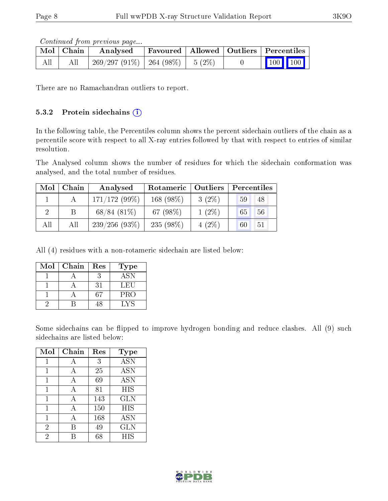Continued from previous page...

|     | Mol   Chain | Analysed                               | Favoured   Allowed   Outliers   Percentiles |  |                         |  |
|-----|-------------|----------------------------------------|---------------------------------------------|--|-------------------------|--|
| All |             | $269/297(91\%)$   264 (98\%)   5 (2\%) |                                             |  | $\vert$ 100 100 $\vert$ |  |

There are no Ramachandran outliers to report.

#### 5.3.2 Protein sidechains  $(i)$

In the following table, the Percentiles column shows the percent sidechain outliers of the chain as a percentile score with respect to all X-ray entries followed by that with respect to entries of similar resolution.

The Analysed column shows the number of residues for which the sidechain conformation was analysed, and the total number of residues.

| Mol | Chain | Analysed        | Rotameric   Outliers |          | Percentiles |
|-----|-------|-----------------|----------------------|----------|-------------|
|     |       | $171/172(99\%)$ | 168 $(98\%)$         | $3(2\%)$ | 48<br>59    |
|     |       | $68/84(81\%)$   | 67 $(98\%)$          | $1(2\%)$ | 65<br>56    |
| All | All   | $239/256(93\%)$ | 235 (98%)            | $4(2\%)$ | 60<br>51    |

All (4) residues with a non-rotameric sidechain are listed below:

| Mol | Chain | Res | Type             |
|-----|-------|-----|------------------|
|     |       |     | $\overline{ASN}$ |
|     |       | 31  | LEU              |
|     |       | 67  | <b>PRO</b>       |
|     |       | -18 | LYS              |

Some sidechains can be flipped to improve hydrogen bonding and reduce clashes. All (9) such sidechains are listed below:

| Mol            | Chain | Res | <b>Type</b> |
|----------------|-------|-----|-------------|
|                | А     | 3   | <b>ASN</b>  |
| 1              | А     | 25  | <b>ASN</b>  |
|                | Α     | 69  | <b>ASN</b>  |
| 1              | А     | 81  | HIS         |
| 1              | А     | 143 | <b>GLN</b>  |
| 1              | А     | 150 | <b>HIS</b>  |
|                | А     | 168 | <b>ASN</b>  |
| $\overline{2}$ | В     | 49  | <b>GLN</b>  |
| 2              |       | 68  | HIS         |

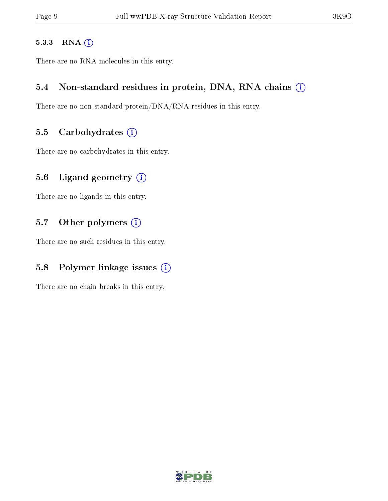#### 5.3.3 RNA [O](https://www.wwpdb.org/validation/2017/XrayValidationReportHelp#rna)i

There are no RNA molecules in this entry.

#### 5.4 Non-standard residues in protein, DNA, RNA chains (i)

There are no non-standard protein/DNA/RNA residues in this entry.

#### 5.5 Carbohydrates  $(i)$

There are no carbohydrates in this entry.

### 5.6 Ligand geometry  $(i)$

There are no ligands in this entry.

### 5.7 [O](https://www.wwpdb.org/validation/2017/XrayValidationReportHelp#nonstandard_residues_and_ligands)ther polymers (i)

There are no such residues in this entry.

### 5.8 Polymer linkage issues  $(i)$

There are no chain breaks in this entry.

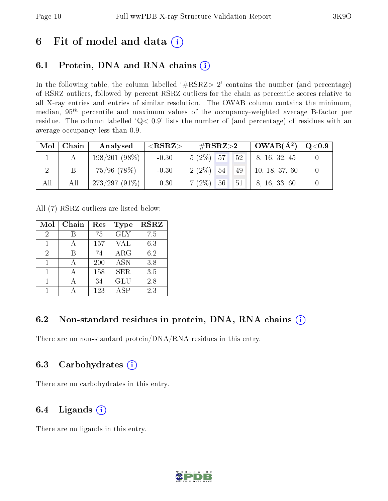## 6 Fit of model and data  $(i)$

## 6.1 Protein, DNA and RNA chains  $(i)$

In the following table, the column labelled  $#RSRZ> 2'$  contains the number (and percentage) of RSRZ outliers, followed by percent RSRZ outliers for the chain as percentile scores relative to all X-ray entries and entries of similar resolution. The OWAB column contains the minimum, median,  $95<sup>th</sup>$  percentile and maximum values of the occupancy-weighted average B-factor per residue. The column labelled ' $Q< 0.9$ ' lists the number of (and percentage) of residues with an average occupancy less than 0.9.

| Mol | Chain | Analysed        | ${ <\hspace{-1.5pt}{\mathrm{RSRZ}} \hspace{-1.5pt}>}$ | $\#\text{RSRZ}{>}2$  | $OWAB(A^2)$    | $\rm Q\textcolor{black}{<}0.9$ |
|-----|-------|-----------------|-------------------------------------------------------|----------------------|----------------|--------------------------------|
|     |       | $198/201(98\%)$ | $-0.30$                                               | $5(2\%)$ 57<br>$52-$ | 8, 16, 32, 45  |                                |
|     |       | $75/96$ (78%)   | $-0.30$                                               | $2(2\%)$ 54<br>49    | 10, 18, 37, 60 |                                |
| All | All   | $273/297(91\%)$ | $-0.30$                                               | $7(2\%)$ 56<br>51    | 8, 16, 33, 60  |                                |

All (7) RSRZ outliers are listed below:

| Mol | Chain | Res | Type       | <b>RSRZ</b> |
|-----|-------|-----|------------|-------------|
| 2   |       | 75  | <b>GLY</b> | 7.5         |
| 1   |       | 157 | VAL        | 6.3         |
| 2   | В     | 74  | ARG        | 6.2         |
| 1   |       | 200 | <b>ASN</b> | 3.8         |
|     |       | 158 | SER.       | 3.5         |
|     |       | 34  | <b>GLU</b> | 2.8         |
|     |       | 123 | ASP        | 2.3         |

## 6.2 Non-standard residues in protein, DNA, RNA chains  $(i)$

There are no non-standard protein/DNA/RNA residues in this entry.

### 6.3 Carbohydrates (i)

There are no carbohydrates in this entry.

## 6.4 Ligands  $(i)$

There are no ligands in this entry.